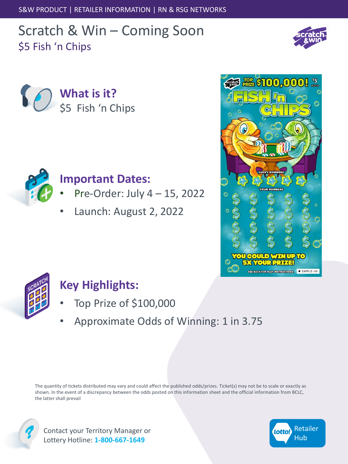S&W PRODUCT | RETAILER INFORMATION | RN & RSG NETWORKS

# Scratch & Win – Coming Soon \$5 Fish 'n Chips







### **Important Dates:**

- Pre-Order: July 4 15, 2022
- Launch: August 2, 2022





## **Key Highlights:**

- Top Prize of \$100,000
- Approximate Odds of Winning: 1 in 3.75

The quantity of tickets distributed may vary and could affect the published odds/prizes. Ticket(s) may not be to scale or exactly as shown. In the event of a discrepancy between the odds posted on this information sheet and the official information from BCLC, the latter shall prevail



Contact your Territory Manager or Lottery Hotline: **1-800-667-1649**